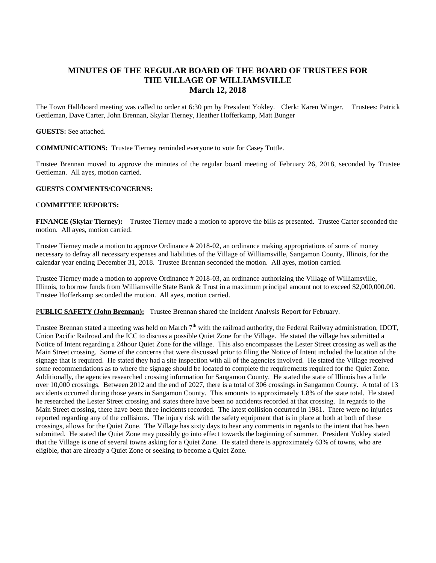# **MINUTES OF THE REGULAR BOARD OF THE BOARD OF TRUSTEES FOR THE VILLAGE OF WILLIAMSVILLE March 12, 2018**

The Town Hall/board meeting was called to order at 6:30 pm by President Yokley. Clerk: Karen Winger. Trustees: Patrick Gettleman, Dave Carter, John Brennan, Skylar Tierney, Heather Hofferkamp, Matt Bunger

### **GUESTS:** See attached.

**COMMUNICATIONS:** Trustee Tierney reminded everyone to vote for Casey Tuttle.

Trustee Brennan moved to approve the minutes of the regular board meeting of February 26, 2018, seconded by Trustee Gettleman.All ayes, motion carried.

### **GUESTS COMMENTS/CONCERNS:**

### C**OMMITTEE REPORTS:**

**FINANCE (Skylar Tierney):** Trustee Tierney made a motion to approve the bills as presented. Trustee Carter seconded the motion. All ayes, motion carried.

Trustee Tierney made a motion to approve Ordinance # 2018-02, an ordinance making appropriations of sums of money necessary to defray all necessary expenses and liabilities of the Village of Williamsville, Sangamon County, Illinois, for the calendar year ending December 31, 2018. Trustee Brennan seconded the motion. All ayes, motion carried.

Trustee Tierney made a motion to approve Ordinance # 2018-03, an ordinance authorizing the Village of Williamsville, Illinois, to borrow funds from Williamsville State Bank & Trust in a maximum principal amount not to exceed \$2,000,000.00. Trustee Hofferkamp seconded the motion. All ayes, motion carried.

P**UBLIC SAFETY (John Brennan):** Trustee Brennan shared the Incident Analysis Report for February.

Trustee Brennan stated a meeting was held on March  $7<sup>th</sup>$  with the railroad authority, the Federal Railway administration, IDOT, Union Pacific Railroad and the ICC to discuss a possible Quiet Zone for the Village. He stated the village has submitted a Notice of Intent regarding a 24hour Quiet Zone for the village. This also encompasses the Lester Street crossing as well as the Main Street crossing. Some of the concerns that were discussed prior to filing the Notice of Intent included the location of the signage that is required. He stated they had a site inspection with all of the agencies involved. He stated the Village received some recommendations as to where the signage should be located to complete the requirements required for the Quiet Zone. Additionally, the agencies researched crossing information for Sangamon County. He stated the state of Illinois has a little over 10,000 crossings. Between 2012 and the end of 2027, there is a total of 306 crossings in Sangamon County. A total of 13 accidents occurred during those years in Sangamon County. This amounts to approximately 1.8% of the state total. He stated he researched the Lester Street crossing and states there have been no accidents recorded at that crossing. In regards to the Main Street crossing, there have been three incidents recorded. The latest collision occurred in 1981. There were no injuries reported regarding any of the collisions. The injury risk with the safety equipment that is in place at both at both of these crossings, allows for the Quiet Zone. The Village has sixty days to hear any comments in regards to the intent that has been submitted. He stated the Quiet Zone may possibly go into effect towards the beginning of summer. President Yokley stated that the Village is one of several towns asking for a Quiet Zone. He stated there is approximately 63% of towns, who are eligible, that are already a Quiet Zone or seeking to become a Quiet Zone.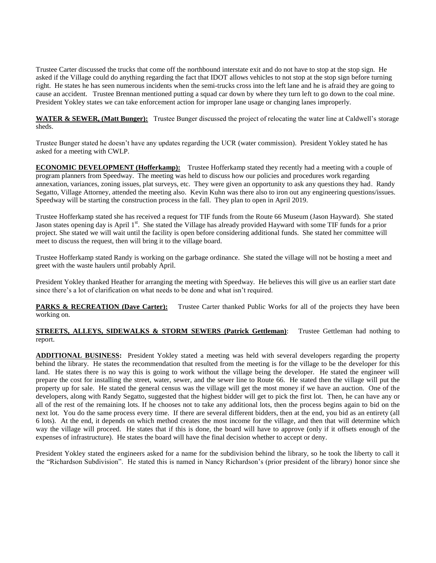Trustee Carter discussed the trucks that come off the northbound interstate exit and do not have to stop at the stop sign. He asked if the Village could do anything regarding the fact that IDOT allows vehicles to not stop at the stop sign before turning right. He states he has seen numerous incidents when the semi-trucks cross into the left lane and he is afraid they are going to cause an accident. Trustee Brennan mentioned putting a squad car down by where they turn left to go down to the coal mine. President Yokley states we can take enforcement action for improper lane usage or changing lanes improperly.

**WATER & SEWER, (Matt Bunger):** Trustee Bunger discussed the project of relocating the water line at Caldwell's storage sheds.

Trustee Bunger stated he doesn't have any updates regarding the UCR (water commission). President Yokley stated he has asked for a meeting with CWLP.

**ECONOMIC DEVELOPMENT (Hofferkamp):** Trustee Hofferkamp stated they recently had a meeting with a couple of program planners from Speedway. The meeting was held to discuss how our policies and procedures work regarding annexation, variances, zoning issues, plat surveys, etc. They were given an opportunity to ask any questions they had. Randy Segatto, Village Attorney, attended the meeting also. Kevin Kuhn was there also to iron out any engineering questions/issues. Speedway will be starting the construction process in the fall. They plan to open in April 2019.

Trustee Hofferkamp stated she has received a request for TIF funds from the Route 66 Museum (Jason Hayward). She stated Jason states opening day is April 1<sup>st</sup>. She stated the Village has already provided Hayward with some TIF funds for a prior project. She stated we will wait until the facility is open before considering additional funds. She stated her committee will meet to discuss the request, then will bring it to the village board.

Trustee Hofferkamp stated Randy is working on the garbage ordinance. She stated the village will not be hosting a meet and greet with the waste haulers until probably April.

President Yokley thanked Heather for arranging the meeting with Speedway. He believes this will give us an earlier start date since there's a lot of clarification on what needs to be done and what isn't required.

**PARKS & RECREATION (Dave Carter):** Trustee Carter thanked Public Works for all of the projects they have been working on.

## **STREETS, ALLEYS, SIDEWALKS & STORM SEWERS (Patrick Gettleman):** Trustee Gettleman had nothing to report.

**ADDITIONAL BUSINESS:** President Yokley stated a meeting was held with several developers regarding the property behind the library. He states the recommendation that resulted from the meeting is for the village to be the developer for this land. He states there is no way this is going to work without the village being the developer. He stated the engineer will prepare the cost for installing the street, water, sewer, and the sewer line to Route 66. He stated then the village will put the property up for sale. He stated the general census was the village will get the most money if we have an auction. One of the developers, along with Randy Segatto, suggested that the highest bidder will get to pick the first lot. Then, he can have any or all of the rest of the remaining lots. If he chooses not to take any additional lots, then the process begins again to bid on the next lot. You do the same process every time. If there are several different bidders, then at the end, you bid as an entirety (all 6 lots). At the end, it depends on which method creates the most income for the village, and then that will determine which way the village will proceed. He states that if this is done, the board will have to approve (only if it offsets enough of the expenses of infrastructure). He states the board will have the final decision whether to accept or deny.

President Yokley stated the engineers asked for a name for the subdivision behind the library, so he took the liberty to call it the "Richardson Subdivision". He stated this is named in Nancy Richardson's (prior president of the library) honor since she